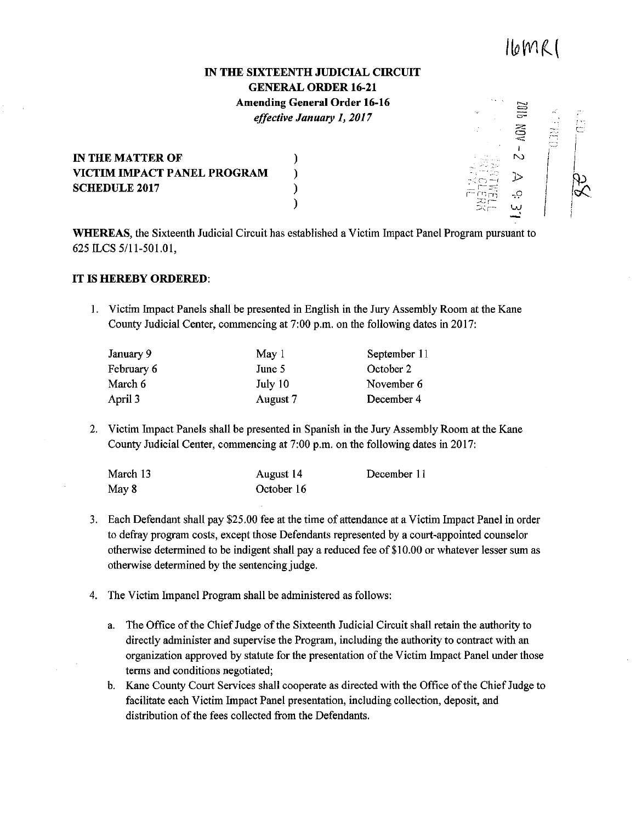## $IbMC$

alla<br>a

 $\frac{1}{2}$ 

 $\dot{\mathbf{Q}}$ 

 $\begin{array}{c} \begin{array}{c} \begin{array}{c} \begin{array}{c} \end{array}\\ \end{array} \end{array} \end{array}$ 

## IN THE SIXTEENTH JUDICIAL CIRCUIT GENERAL ORDER 16-21 Amending General Order 16-16

*effective January I, 2017* 

IN THE MATTER OF  $\qquad \qquad$  ) VICTIM IMPACT PANEL PROGRAM ) SCHEDULE 2017 (1995)

يا<br>-WHEREAS, the Sixteenth Judicial Circuit has established a Victim Impact Panel Program pursuant to 625 ILCS 5/11-501.01,

)

## IT IS HEREBY ORDERED:

I. Victim Impact Panels shall be presented in English in the Jury Assembly Room at the Kane County Judicial Center, commencing at 7:00 p.m. on the following dates in 2017:

| January 9  | May 1    | September 11 |
|------------|----------|--------------|
| February 6 | June 5   | October 2    |
| March 6    | July 10  | November 6   |
| April 3    | August 7 | December 4   |

2. Victim Impact Panels shall be presented in Spanish in the Jury Assembly Room at the Kane County Judicial Center, commencing at 7:00 p.m. on the following dates in 2017:

| March 13 | August 14  | December 11 |
|----------|------------|-------------|
| May 8    | October 16 |             |

- 3. Each Defendant shall pay \$25.00 fee at the time of attendance at a Victim Impact Panel in order to defray program costs, except those Defendants represented by a court-appointed counselor otherwise determined to be indigent shall pay a reduced fee of\$10.00 or whatever lesser sum as otherwise determined by the sentencing judge.
- 4. The Victim Impanel Program shall be administered as follows:
	- a. The Office of the Chief Judge of the Sixteenth Judicial Circuit shall retain the authority to directly administer and supervise the Program, including the authority to contract with an organization approved by statute for the presentation of the Victim Impact Panel under those terms and conditions negotiated;
	- b. Kane County Court Services shall cooperate as directed with the Office of the Chief Judge to facilitate each Victim Impact Panel presentation, including collection, deposit, and distribution of the fees collected from the Defendants.